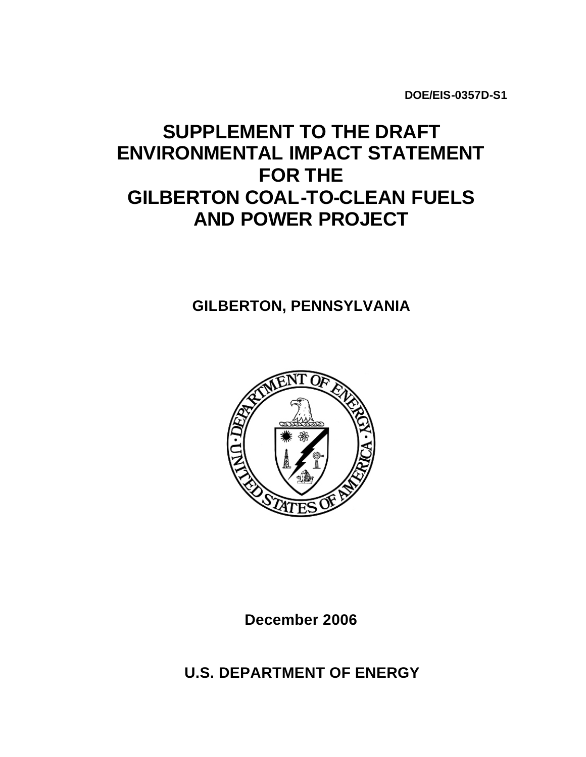**DOE/EIS-0357D-S1**

# **SUPPLEMENT TO THE DRAFT ENVIRONMENTAL IMPACT STATEMENT FOR THE GILBERTON COAL-TO-CLEAN FUELS AND POWER PROJECT**

# **GILBERTON, PENNSYLVANIA**



**December 2006**

**U.S. DEPARTMENT OF ENERGY**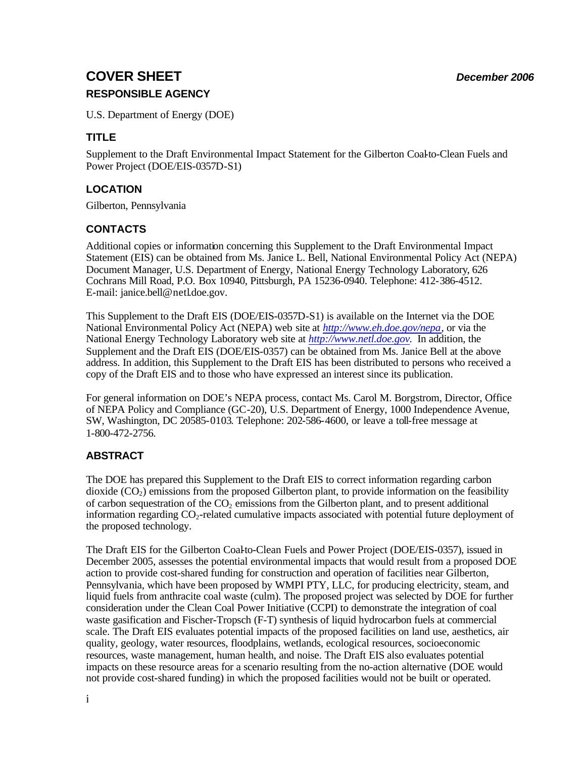# **COVER SHEET** *December 2006* **RESPONSIBLE AGENCY**

U.S. Department of Energy (DOE)

# **TITLE**

Supplement to the Draft Environmental Impact Statement for the Gilberton Coal-to-Clean Fuels and Power Project (DOE/EIS-0357D-S1)

# **LOCATION**

Gilberton, Pennsylvania

## **CONTACTS**

Additional copies or information concerning this Supplement to the Draft Environmental Impact Statement (EIS) can be obtained from Ms. Janice L. Bell, National Environmental Policy Act (NEPA) Document Manager, U.S. Department of Energy, National Energy Technology Laboratory, 626 Cochrans Mill Road, P.O. Box 10940, Pittsburgh, PA 15236-0940. Telephone: 412-386-4512. E-mail: janice.bell@netl.doe.gov.

This Supplement to the Draft EIS (DOE/EIS-0357D-S1) is available on the Internet via the DOE National Environmental Policy Act (NEPA) web site at *http://www.eh.doe.gov/nepa*, or via the National Energy Technology Laboratory web site at *http://www.netl.doe.gov.* In addition, the Supplement and the Draft EIS (DOE/EIS-0357) can be obtained from Ms. Janice Bell at the above address. In addition, this Supplement to the Draft EIS has been distributed to persons who received a copy of the Draft EIS and to those who have expressed an interest since its publication.

For general information on DOE's NEPA process, contact Ms. Carol M. Borgstrom, Director, Office of NEPA Policy and Compliance (GC-20), U.S. Department of Energy, 1000 Independence Avenue, SW, Washington, DC 20585-0103. Telephone: 202-586-4600, or leave a toll-free message at 1-800-472-2756.

## **ABSTRACT**

The DOE has prepared this Supplement to the Draft EIS to correct information regarding carbon dioxide  $(CO<sub>2</sub>)$  emissions from the proposed Gilberton plant, to provide information on the feasibility of carbon sequestration of the  $CO<sub>2</sub>$  emissions from the Gilberton plant, and to present additional information regarding CO<sub>2</sub>-related cumulative impacts associated with potential future deployment of the proposed technology.

The Draft EIS for the Gilberton Coal-to-Clean Fuels and Power Project (DOE/EIS-0357), issued in December 2005, assesses the potential environmental impacts that would result from a proposed DOE action to provide cost-shared funding for construction and operation of facilities near Gilberton, Pennsylvania, which have been proposed by WMPI PTY, LLC, for producing electricity, steam, and liquid fuels from anthracite coal waste (culm). The proposed project was selected by DOE for further consideration under the Clean Coal Power Initiative (CCPI) to demonstrate the integration of coal waste gasification and Fischer-Tropsch (F-T) synthesis of liquid hydrocarbon fuels at commercial scale. The Draft EIS evaluates potential impacts of the proposed facilities on land use, aesthetics, air quality, geology, water resources, floodplains, wetlands, ecological resources, socioeconomic resources, waste management, human health, and noise. The Draft EIS also evaluates potential impacts on these resource areas for a scenario resulting from the no-action alternative (DOE would not provide cost-shared funding) in which the proposed facilities would not be built or operated.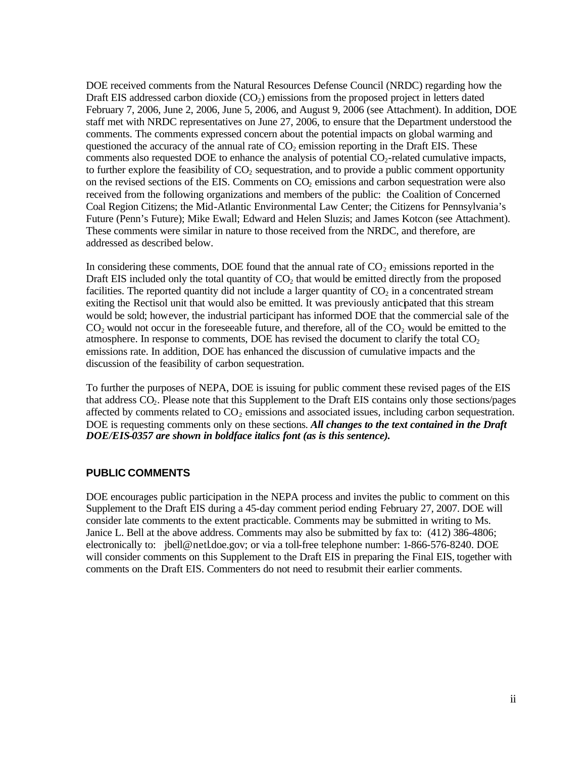DOE received comments from the Natural Resources Defense Council (NRDC) regarding how the Draft EIS addressed carbon dioxide  $(CO<sub>2</sub>)$  emissions from the proposed project in letters dated February 7, 2006, June 2, 2006, June 5, 2006, and August 9, 2006 (see Attachment). In addition, DOE staff met with NRDC representatives on June 27, 2006, to ensure that the Department understood the comments. The comments expressed concern about the potential impacts on global warming and questioned the accuracy of the annual rate of  $CO<sub>2</sub>$  emission reporting in the Draft EIS. These comments also requested DOE to enhance the analysis of potential  $CO<sub>2</sub>$ -related cumulative impacts, to further explore the feasibility of  $CO<sub>2</sub>$  sequestration, and to provide a public comment opportunity on the revised sections of the EIS. Comments on  $CO<sub>2</sub>$  emissions and carbon sequestration were also received from the following organizations and members of the public: the Coalition of Concerned Coal Region Citizens; the Mid-Atlantic Environmental Law Center; the Citizens for Pennsylvania's Future (Penn's Future); Mike Ewall; Edward and Helen Sluzis; and James Kotcon (see Attachment). These comments were similar in nature to those received from the NRDC, and therefore, are addressed as described below.

In considering these comments, DOE found that the annual rate of  $CO<sub>2</sub>$  emissions reported in the Draft EIS included only the total quantity of  $CO<sub>2</sub>$  that would be emitted directly from the proposed facilities. The reported quantity did not include a larger quantity of  $CO<sub>2</sub>$  in a concentrated stream exiting the Rectisol unit that would also be emitted. It was previously anticipated that this stream would be sold; however, the industrial participant has informed DOE that the commercial sale of the  $CO<sub>2</sub>$  would not occur in the foreseeable future, and therefore, all of the  $CO<sub>2</sub>$  would be emitted to the atmosphere. In response to comments, DOE has revised the document to clarify the total  $CO<sub>2</sub>$ emissions rate. In addition, DOE has enhanced the discussion of cumulative impacts and the discussion of the feasibility of carbon sequestration.

To further the purposes of NEPA, DOE is issuing for public comment these revised pages of the EIS that address CO2. Please note that this Supplement to the Draft EIS contains only those sections/pages affected by comments related to  $CO<sub>2</sub>$  emissions and associated issues, including carbon sequestration. DOE is requesting comments only on these sections. *All changes to the text contained in the Draft DOE/EIS-0357 are shown in boldface italics font (as is this sentence).*

### **PUBLIC COMMENTS**

DOE encourages public participation in the NEPA process and invites the public to comment on this Supplement to the Draft EIS during a 45-day comment period ending February 27, 2007. DOE will consider late comments to the extent practicable. Comments may be submitted in writing to Ms. Janice L. Bell at the above address. Comments may also be submitted by fax to: (412) 386-4806; electronically to: jbell@netl.doe.gov; or via a toll-free telephone number: 1-866-576-8240. DOE will consider comments on this Supplement to the Draft EIS in preparing the Final EIS, together with comments on the Draft EIS. Commenters do not need to resubmit their earlier comments.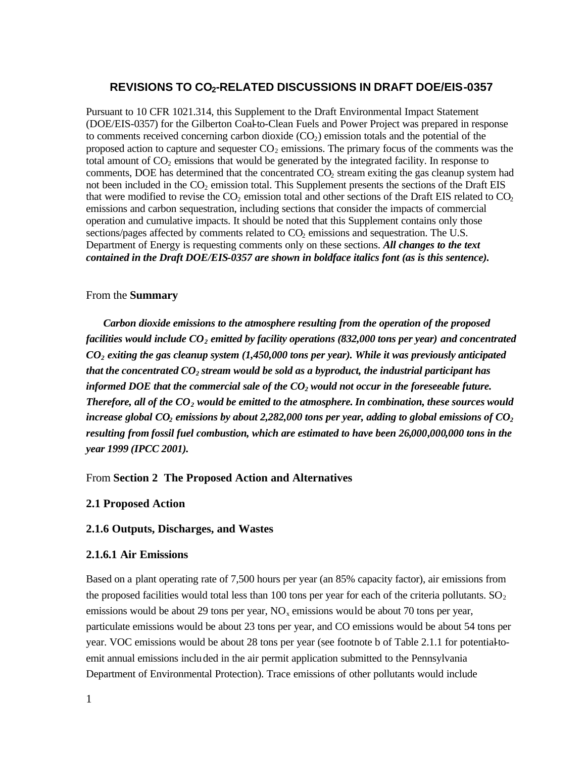#### **REVISIONS TO CO2-RELATED DISCUSSIONS IN DRAFT DOE/EIS-0357**

Pursuant to 10 CFR 1021.314, this Supplement to the Draft Environmental Impact Statement (DOE/EIS-0357) for the Gilberton Coal-to-Clean Fuels and Power Project was prepared in response to comments received concerning carbon dioxide  $(CO<sub>2</sub>)$  emission totals and the potential of the proposed action to capture and sequester  $CO<sub>2</sub>$  emissions. The primary focus of the comments was the total amount of  $CO<sub>2</sub>$  emissions that would be generated by the integrated facility. In response to comments, DOE has determined that the concentrated CO<sub>2</sub> stream exiting the gas cleanup system had not been included in the  $CO<sub>2</sub>$  emission total. This Supplement presents the sections of the Draft EIS that were modified to revise the  $CO<sub>2</sub>$  emission total and other sections of the Draft EIS related to  $CO<sub>2</sub>$ emissions and carbon sequestration, including sections that consider the impacts of commercial operation and cumulative impacts. It should be noted that this Supplement contains only those sections/pages affected by comments related to CO<sub>2</sub> emissions and sequestration. The U.S. Department of Energy is requesting comments only on these sections. *All changes to the text contained in the Draft DOE/EIS-0357 are shown in boldface italics font (as is this sentence).*

#### From the **Summary**

*Carbon dioxide emissions to the atmosphere resulting from the operation of the proposed facilities would include CO2 emitted by facility operations (832,000 tons per year) and concentrated CO2 exiting the gas cleanup system (1,450,000 tons per year). While it was previously anticipated that the concentrated CO2 stream would be sold as a byproduct, the industrial participant has informed DOE that the commercial sale of the CO2 would not occur in the foreseeable future. Therefore, all of the CO2 would be emitted to the atmosphere.In combination, these sources would increase global CO2 emissions by about 2,282,000 tons per year, adding to global emissions of CO<sup>2</sup> resulting from fossil fuel combustion, which are estimated to have been 26,000,000,000 tons in the year 1999 (IPCC 2001).*

#### From **Section 2 The Proposed Action and Alternatives**

#### **2.1 Proposed Action**

#### **2.1.6 Outputs, Discharges, and Wastes**

#### **2.1.6.1 Air Emissions**

Based on a plant operating rate of 7,500 hours per year (an 85% capacity factor), air emissions from the proposed facilities would total less than 100 tons per year for each of the criteria pollutants.  $SO<sub>2</sub>$ emissions would be about 29 tons per year,  $NO<sub>x</sub>$  emissions would be about 70 tons per year, particulate emissions would be about 23 tons per year, and CO emissions would be about 54 tons per year. VOC emissions would be about 28 tons per year (see footnote b of Table 2.1.1 for potential-toemit annual emissions included in the air permit application submitted to the Pennsylvania Department of Environmental Protection). Trace emissions of other pollutants would include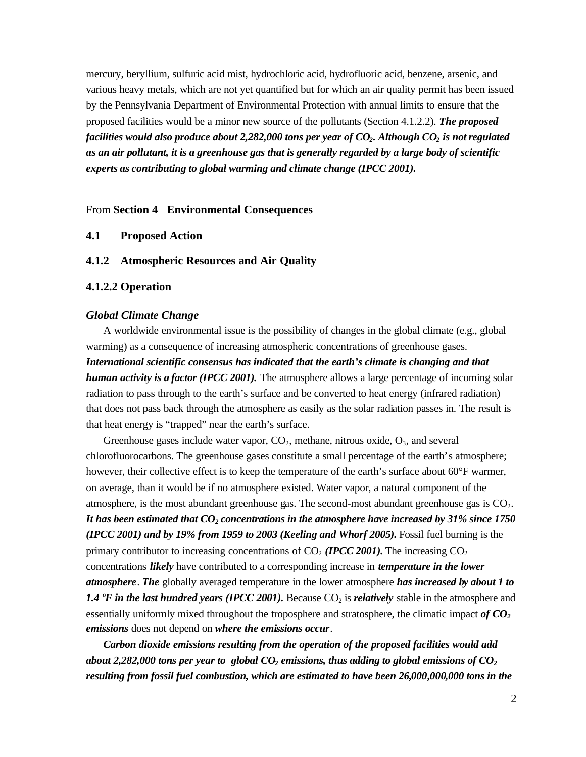mercury, beryllium, sulfuric acid mist, hydrochloric acid, hydrofluoric acid, benzene, arsenic, and various heavy metals, which are not yet quantified but for which an air quality permit has been issued by the Pennsylvania Department of Environmental Protection with annual limits to ensure that the proposed facilities would be a minor new source of the pollutants (Section 4.1.2.2). *The proposed facilities would also produce about 2,282,000 tons per year of CO2. Although CO2 is not regulated as an air pollutant, it is a greenhouse gas that is generally regarded by a large body of scientific experts as contributing to global warming and climate change (IPCC 2001).*

#### From **Section 4 Environmental Consequences**

**4.1 Proposed Action**

#### **4.1.2 Atmospheric Resources and Air Quality**

#### **4.1.2.2 Operation**

#### *Global Climate Change*

A worldwide environmental issue is the possibility of changes in the global climate (e.g., global warming) as a consequence of increasing atmospheric concentrations of greenhouse gases. *International scientific consensus has indicated that the earth's climate is changing and that human activity is a factor (IPCC 2001).* The atmosphere allows a large percentage of incoming solar radiation to pass through to the earth's surface and be converted to heat energy (infrared radiation) that does not pass back through the atmosphere as easily as the solar radiation passes in. The result is that heat energy is "trapped" near the earth's surface.

Greenhouse gases include water vapor,  $CO<sub>2</sub>$ , methane, nitrous oxide,  $O<sub>3</sub>$ , and several chlorofluorocarbons. The greenhouse gases constitute a small percentage of the earth's atmosphere; however, their collective effect is to keep the temperature of the earth's surface about 60°F warmer, on average, than it would be if no atmosphere existed. Water vapor, a natural component of the atmosphere, is the most abundant greenhouse gas. The second-most abundant greenhouse gas is  $CO<sub>2</sub>$ . *It has been estimated that CO2 concentrations in the atmosphere have increased by 31% since 1750 (IPCC 2001) and by 19% from 1959 to 2003 (Keeling and Whorf 2005).* Fossil fuel burning is the primary contributor to increasing concentrations of  $CO<sub>2</sub>$  *(IPCC 2001)*. The increasing  $CO<sub>2</sub>$ concentrations *likely* have contributed to a corresponding increase in *temperature in the lower atmosphere*. *The* globally averaged temperature in the lower atmosphere *has increased by about 1 to 1.4 °F in the last hundred years (IPCC 2001).* Because  $CO<sub>2</sub>$  is *relatively* stable in the atmosphere and essentially uniformly mixed throughout the troposphere and stratosphere, the climatic impact *of CO<sup>2</sup> emissions* does not depend on *where the emissions occur*.

*Carbon dioxide emissions resulting from the operation of the proposed facilities would add about 2,282,000 tons per year to global CO2 emissions, thus adding to global emissions of CO<sup>2</sup> resulting from fossil fuel combustion, which are estimated to have been 26,000,000,000 tons in the*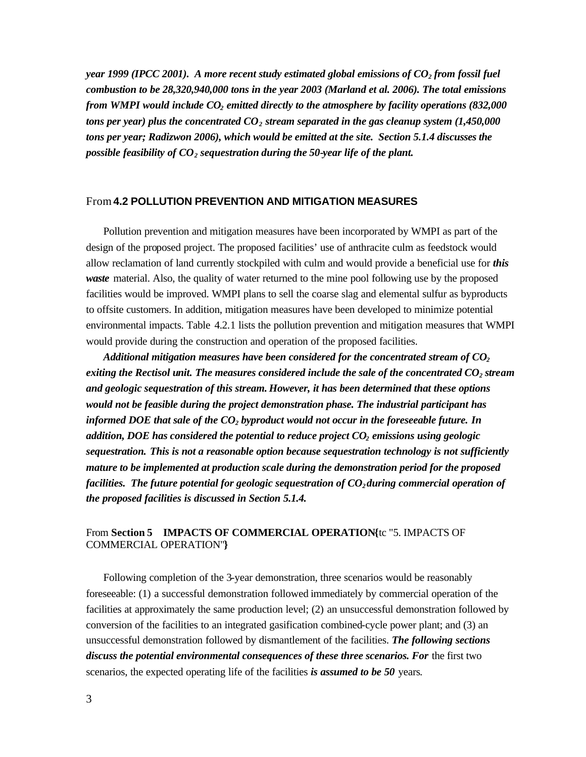*year 1999 (IPCC 2001). A more recent study estimated global emissions of CO2 from fossil fuel combustion to be 28,320,940,000 tons in the year 2003 (Marland et al. 2006). The total emissions from WMPI would include CO2 emitted directly to the atmosphere by facility operations (832,000 tons per year) plus the concentrated CO2 stream separated in the gas cleanup system (1,450,000 tons per year; Radizwon 2006), which would be emitted at the site. Section 5.1.4 discusses the possible feasibility of CO2 sequestration during the 50-year life of the plant.* 

#### From**4.2 POLLUTION PREVENTION AND MITIGATION MEASURES**

Pollution prevention and mitigation measures have been incorporated by WMPI as part of the design of the proposed project. The proposed facilities' use of anthracite culm as feedstock would allow reclamation of land currently stockpiled with culm and would provide a beneficial use for *this waste* material. Also, the quality of water returned to the mine pool following use by the proposed facilities would be improved. WMPI plans to sell the coarse slag and elemental sulfur as byproducts to offsite customers. In addition, mitigation measures have been developed to minimize potential environmental impacts. Table 4.2.1 lists the pollution prevention and mitigation measures that WMPI would provide during the construction and operation of the proposed facilities.

*Additional mitigation measures have been considered for the concentrated stream of CO<sup>2</sup> exiting the Rectisol unit. The measures considered include the sale of the concentrated CO2 stream and geologic sequestration of this stream. However, it has been determined that these options would not be feasible during the project demonstration phase. The industrial participant has informed DOE that sale of the CO2 byproduct would not occur in the foreseeable future. In addition, DOE has considered the potential to reduce project CO2 emissions using geologic sequestration. This is not a reasonable option because sequestration technology is not sufficiently mature to be implemented at production scale during the demonstration period for the proposed facilities. The future potential for geologic sequestration of CO2 during commercial operation of the proposed facilities is discussed in Section 5.1.4.*

#### From **Section 5 IMPACTS OF COMMERCIAL OPERATION{**tc "5. IMPACTS OF COMMERCIAL OPERATION"**}**

Following completion of the 3-year demonstration, three scenarios would be reasonably foreseeable: (1) a successful demonstration followed immediately by commercial operation of the facilities at approximately the same production level; (2) an unsuccessful demonstration followed by conversion of the facilities to an integrated gasification combined-cycle power plant; and (3) an unsuccessful demonstration followed by dismantlement of the facilities. *The following sections discuss the potential environmental consequences of these three scenarios. For* the first two scenarios, the expected operating life of the facilities *is assumed to be 50* years.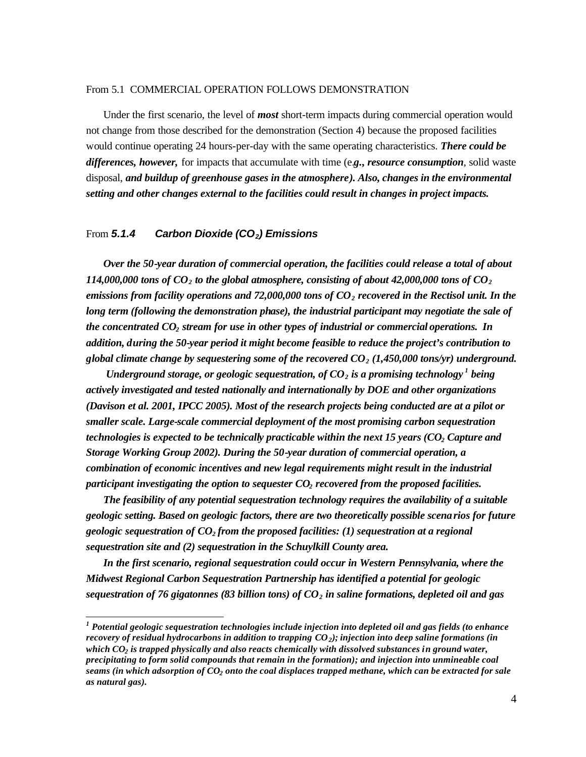#### From 5.1 COMMERCIAL OPERATION FOLLOWS DEMONSTRATION

Under the first scenario, the level of *most* short-term impacts during commercial operation would not change from those described for the demonstration (Section 4) because the proposed facilities would continue operating 24 hours-per-day with the same operating characteristics. *There could be differences, however,* for impacts that accumulate with time (e.*g., resource consumption*, solid waste disposal, *and buildup of greenhouse gases in the atmosphere). Also, changes in the environmental setting and other changes external to the facilities could result in changes in project impacts.* 

#### From *5.1.4 Carbon Dioxide (CO2) Emissions*

 $\overline{\phantom{a}}$ 

*Over the 50-year duration of commercial operation, the facilities could release a total of about 114,000,000 tons of CO<sub>2</sub> to the global atmosphere, consisting of about 42,000,000 tons of CO<sub>2</sub>. emissions from facility operations and 72,000,000 tons of CO2 recovered in the Rectisol unit. In the long term (following the demonstration phase), the industrial participant may negotiate the sale of the concentrated CO2 stream for use in other types of industrial or commercial operations. In addition, during the 50-year period it might become feasible to reduce the project's contribution to global climate change by sequestering some of the recovered CO2 (1,450,000 tons/yr) underground.*

*Underground storage, or geologic sequestration, of*  $CO_2$  *is a promising technology*<sup> $1$ </sup> being *actively investigated and tested nationally and internationally by DOE and other organizations (Davison et al. 2001, IPCC 2005). Most of the research projects being conducted are at a pilot or smaller scale. Large-scale commercial deployment of the most promising carbon sequestration technologies is expected to be technically practicable within the next 15 years (CO2 Capture and Storage Working Group 2002). During the 50-year duration of commercial operation, a combination of economic incentives and new legal requirements might result in the industrial participant investigating the option to sequester CO2 recovered from the proposed facilities.*

*The feasibility of any potential sequestration technology requires the availability of a suitable geologic setting. Based on geologic factors, there are two theoretically possible scenarios for future geologic sequestration of CO2 from the proposed facilities: (1) sequestration at a regional sequestration site and (2) sequestration in the Schuylkill County area.* 

*In the first scenario, regional sequestration could occur in Western Pennsylvania, where the Midwest Regional Carbon Sequestration Partnership has identified a potential for geologic sequestration of 76 gigatonnes (83 billion tons) of CO2 in saline formations, depleted oil and gas* 

*<sup>1</sup> Potential geologic sequestration technologies include injection into depleted oil and gas fields (to enhance recovery of residual hydrocarbons in addition to trapping CO2); injection into deep saline formations (in which CO2 is trapped physically and also reacts chemically with dissolved substances in ground water, precipitating to form solid compounds that remain in the formation); and injection into unmineable coal seams (in which adsorption of CO2 onto the coal displaces trapped methane, which can be extracted for sale as natural gas).*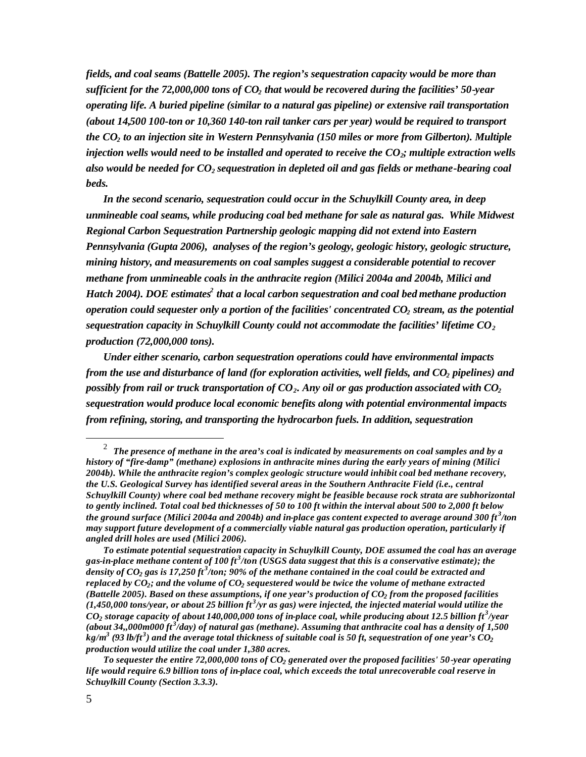*fields, and coal seams (Battelle 2005). The region's sequestration capacity would be more than sufficient for the 72,000,000 tons of CO2 that would be recovered during the facilities' 50-year operating life. A buried pipeline (similar to a natural gas pipeline) or extensive rail transportation (about 14,500 100-ton or 10,360 140-ton rail tanker cars per year) would be required to transport the CO2 to an injection site in Western Pennsylvania (150 miles or more from Gilberton). Multiple injection wells would need to be installed and operated to receive the CO2; multiple extraction wells also would be needed for CO2 sequestration in depleted oil and gas fields or methane-bearing coal beds.* 

*In the second scenario, sequestration could occur in the Schuylkill County area, in deep unmineable coal seams, while producing coal bed methane for sale as natural gas. While Midwest Regional Carbon Sequestration Partnership geologic mapping did not extend into Eastern Pennsylvania (Gupta 2006), analyses of the region's geology, geologic history, geologic structure, mining history, and measurements on coal samples suggest a considerable potential to recover methane from unmineable coals in the anthracite region (Milici 2004a and 2004b, Milici and*  Hatch 2004). DOE estimates<sup>2</sup> that a local carbon sequestration and coal bed methane production *operation could sequester only a portion of the facilities' concentrated CO2 stream, as the potential sequestration capacity in Schuylkill County could not accommodate the facilities' lifetime CO<sup>2</sup> production (72,000,000 tons).*

*Under either scenario, carbon sequestration operations could have environmental impacts from the use and disturbance of land (for exploration activities, well fields, and CO2 pipelines) and possibly from rail or truck transportation of CO2. Any oil or gas production associated with CO<sup>2</sup> sequestration would produce local economic benefits along with potential environmental impacts from refining, storing, and transporting the hydrocarbon fuels. In addition, sequestration* 

 $\overline{a}$ 

<sup>2</sup> *The presence of methane in the area's coal is indicated by measurements on coal samples and by a history of "fire-damp" (methane) explosions in anthracite mines during the early years of mining (Milici 2004b). While the anthracite region's complex geologic structure would inhibit coal bed methane recovery, the U.S. Geological Survey has identified several areas in the Southern Anthracite Field (i.e., central Schuylkill County) where coal bed methane recovery might be feasible because rock strata are subhorizontal to gently inclined. Total coal bed thicknesses of 50 to 100 ft within the interval about 500 to 2,000 ft below the ground surface (Milici 2004a and 2004b) and in-place gas content expected to average around 300 ft <sup>3</sup> /ton may support future development of a commercially viable natural gas production operation, particularly if angled drill holes are used (Milici 2006).* 

*To estimate potential sequestration capacity in Schuylkill County, DOE assumed the coal has an average gas-in-place methane content of 100 ft <sup>3</sup> /ton (USGS data suggest that this is a conservative estimate); the density of CO2 gas is 17,250 ft <sup>3</sup> /ton; 90% of the methane contained in the coal could be extracted and replaced by CO2; and the volume of CO2 sequestered would be twice the volume of methane extracted (Battelle 2005). Based on these assumptions, if one year's production of CO2 from the proposed facilities (1,450,000 tons/year, or about 25 billion ft <sup>3</sup> /yr as gas) were injected, the injected material would utilize the*   $CO_2$  storage capacity of about 140,000,000 tons of in-place coal, while producing about 12.5 billion ft<sup>3</sup>/year (about 34,,000m000 ft<sup>3</sup>/day) of natural gas (methane). Assuming that anthracite coal has a density of 1,500  $k$ g/m $^3$  (93 lb/ft $^3$ ) and the average total thickness of suitable coal is 50 ft, sequestration of one year's  $\overline{CO_2}$ *production would utilize the coal under 1,380 acres.* 

*To sequester the entire 72,000,000 tons of CO2 generated over the proposed facilities' 50-year operating life would require 6.9 billion tons of in-place coal, which exceeds the total unrecoverable coal reserve in Schuylkill County (Section 3.3.3).*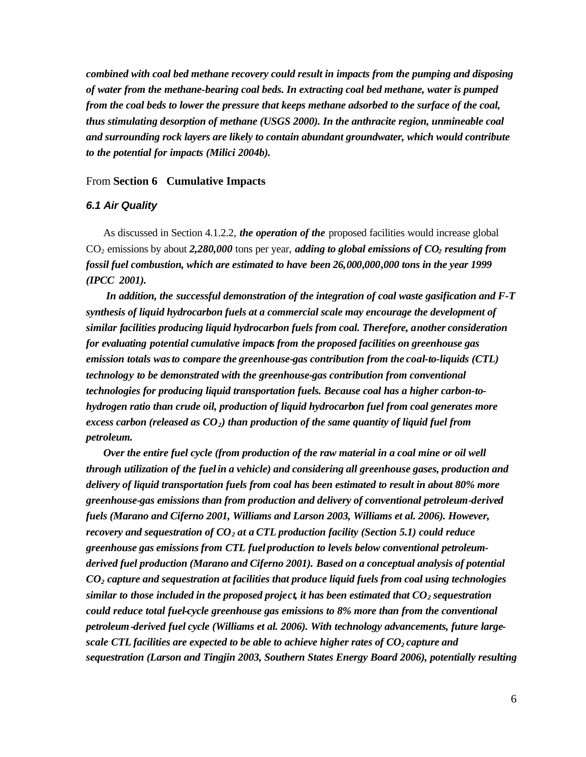*combined with coal bed methane recovery could result in impacts from the pumping and disposing of water from the methane-bearing coal beds. In extracting coal bed methane, water is pumped from the coal beds to lower the pressure that keeps methane adsorbed to the surface of the coal, thus stimulating desorption of methane (USGS 2000). In the anthracite region, unmineable coal and surrounding rock layers are likely to contain abundant groundwater, which would contribute to the potential for impacts (Milici 2004b).*

#### From **Section 6 Cumulative Impacts**

#### *6.1 Air Quality*

As discussed in Section 4.1.2.2, *the operation of the* proposed facilities would increase global CO2 emissions by about *2,280,000* tons per year, *adding to global emissions of CO2 resulting from fossil fuel combustion, which are estimated to have been 26,000,000,000 tons in the year 1999 (IPCC 2001).*

 *In addition, the successful demonstration of the integration of coal waste gasification and F-T synthesis of liquid hydrocarbon fuels at a commercial scale may encourage the development of similar facilities producing liquid hydrocarbon fuels from coal. Therefore, another consideration for evaluating potential cumulative impacts from the proposed facilities on greenhouse gas emission totals was to compare the greenhouse-gas contribution from the coal-to-liquids (CTL) technology to be demonstrated with the greenhouse-gas contribution from conventional technologies for producing liquid transportation fuels. Because coal has a higher carbon-tohydrogen ratio than crude oil, production of liquid hydrocarbon fuel from coal generates more excess carbon (released as CO2) than production of the same quantity of liquid fuel from petroleum.* 

*Over the entire fuel cycle (from production of the raw material in a coal mine or oil well through utilization of the fuel in a vehicle) and considering all greenhouse gases, production and delivery of liquid transportation fuels from coal has been estimated to result in about 80% more greenhouse-gas emissions than from production and delivery of conventional petroleum-derived fuels (Marano and Ciferno 2001, Williams and Larson 2003, Williams et al. 2006). However, recovery and sequestration of CO<sup>2</sup> at a CTL production facility (Section 5.1) could reduce greenhouse gas emissions from CTL fuel production to levels below conventional petroleumderived fuel production (Marano and Ciferno 2001). Based on a conceptual analysis of potential CO2 capture and sequestration at facilities that produce liquid fuels from coal using technologies similar to those included in the proposed project, it has been estimated that CO2 sequestration could reduce total fuel-cycle greenhouse gas emissions to 8% more than from the conventional petroleum-derived fuel cycle (Williams et al. 2006). With technology advancements, future largescale CTL facilities are expected to be able to achieve higher rates of CO2 capture and sequestration (Larson and Tingjin 2003, Southern States Energy Board 2006), potentially resulting*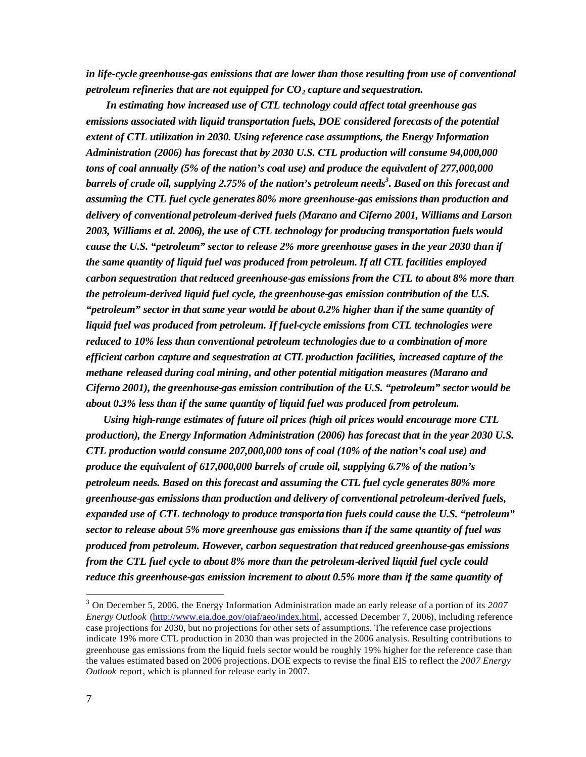*in life-cycle greenhouse-gas emissions that are lower than those resulting from use of conventional petroleum refineries that are not equipped for CO2 capture and sequestration.* 

*In estimating how increased use of CTL technology could affect total greenhouse gas emissions associated with liquid transportation fuels, DOE considered forecasts of the potential extent of CTL utilization in 2030. Using reference case assumptions, the Energy Information Administration (2006) has forecast that by 2030 U.S. CTL production will consume 94,000,000 tons of coal annually (5% of the nation's coal use) and produce the equivalent of 277,000,000 barrels of crude oil, supplying 2.75% of the nation's petroleum needs<sup>3</sup> . Based on this forecast and assuming the CTL fuel cycle generates 80% more greenhouse-gas emissions than production and delivery of conventional petroleum-derived fuels (Marano and Ciferno 2001, Williams and Larson 2003, Williams et al. 2006), the use of CTL technology for producing transportation fuels would cause the U.S. "petroleum" sector to release 2% more greenhouse gases in the year 2030 than if the same quantity of liquid fuel was produced from petroleum.If all CTL facilities employed carbon sequestration that reduced greenhouse-gas emissions from the CTL to about 8% more than the petroleum-derived liquid fuel cycle, the greenhouse-gas emission contribution of the U.S. "petroleum" sector in that same year would be about 0.2% higher than if the same quantity of liquid fuel was produced from petroleum. If fuel-cycle emissions from CTL technologies were reduced to 10% less than conventional petroleum technologies due to a combination of more efficient carbon capture and sequestration at CTL production facilities, increased capture of the methane released during coal mining, and other potential mitigation measures (Marano and Ciferno 2001), the greenhouse-gas emission contribution of the U.S. "petroleum" sector would be about 0.3% less than if the same quantity of liquid fuel was produced from petroleum.*

*Using high-range estimates of future oil prices (high oil prices would encourage more CTL production), the Energy Information Administration (2006) has forecast that in the year 2030 U.S. CTL production would consume 207,000,000 tons of coal (10% of the nation's coal use) and produce the equivalent of 617,000,000 barrels of crude oil, supplying 6.7% of the nation's petroleum needs. Based on this forecast and assuming the CTL fuel cycle generates 80% more greenhouse-gas emissions than production and delivery of conventional petroleum-derived fuels, expanded use of CTL technology to produce transportation fuels could cause the U.S. "petroleum" sector to release about 5% more greenhouse gas emissions than if the same quantity of fuel was produced from petroleum. However, carbon sequestration that reduced greenhouse-gas emissions from the CTL fuel cycle to about 8% more than the petroleum-derived liquid fuel cycle could reduce this greenhouse-gas emission increment to about 0.5% more than if the same quantity of* 

 $\overline{a}$ 

<sup>3</sup> On December 5, 2006, the Energy Information Administration made an early release of a portion of its *2007 Energy Outlook* (http://www.eia.doe.gov/oiaf/aeo/index.html, accessed December 7, 2006), including reference case projections for 2030, but no projections for other sets of assumptions. The reference case projections indicate 19% more CTL production in 2030 than was projected in the 2006 analysis. Resulting contributions to greenhouse gas emissions from the liquid fuels sector would be roughly 19% higher for the reference case than the values estimated based on 2006 projections. DOE expects to revise the final EIS to reflect the *2007 Energy Outlook* report, which is planned for release early in 2007.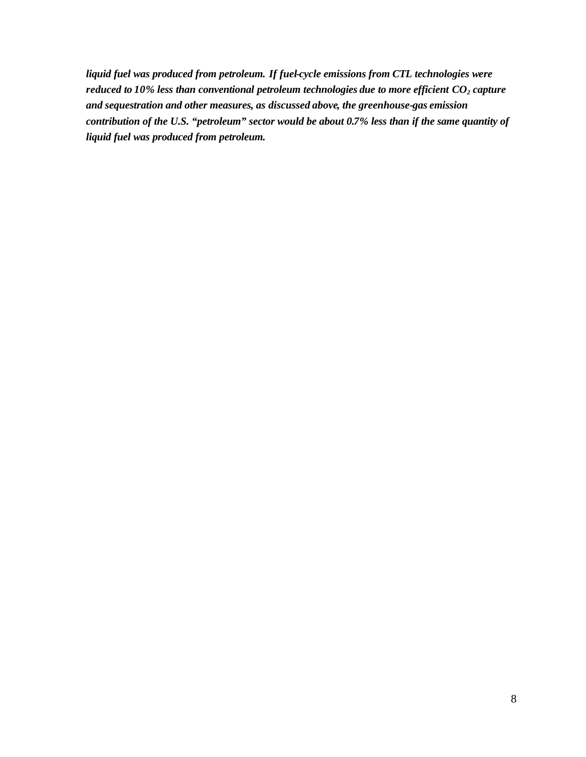*liquid fuel was produced from petroleum. If fuel-cycle emissions from CTL technologies were reduced to 10% less than conventional petroleum technologies due to more efficient CO<sup>2</sup> capture and sequestration and other measures, as discussed above, the greenhouse-gas emission contribution of the U.S. "petroleum" sector would be about 0.7% less than if the same quantity of liquid fuel was produced from petroleum.*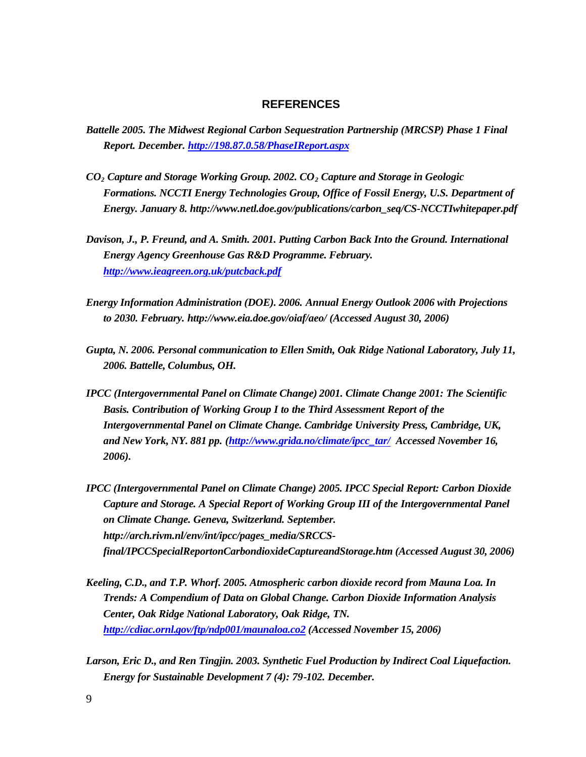#### **REFERENCES**

- *Battelle 2005. The Midwest Regional Carbon Sequestration Partnership (MRCSP) Phase 1 Final Report. December. http://198.87.0.58/PhaseIReport.aspx*
- *CO2 Capture and Storage Working Group. 2002. CO2 Capture and Storage in Geologic Formations. NCCTI Energy Technologies Group, Office of Fossil Energy, U.S. Department of Energy. January 8. http://www.netl.doe.gov/publications/carbon\_seq/CS-NCCTIwhitepaper.pdf*
- *Davison, J., P. Freund, and A. Smith. 2001. Putting Carbon Back Into the Ground. International Energy Agency Greenhouse Gas R&D Programme. February. http://www.ieagreen.org.uk/putcback.pdf*
- *Energy Information Administration (DOE). 2006. Annual Energy Outlook 2006 with Projections to 2030. February. http://www.eia.doe.gov/oiaf/aeo/ (Accessed August 30, 2006)*
- *Gupta, N. 2006. Personal communication to Ellen Smith, Oak Ridge National Laboratory, July 11, 2006. Battelle, Columbus, OH.*
- *IPCC (Intergovernmental Panel on Climate Change) 2001. Climate Change 2001: The Scientific Basis. Contribution of Working Group I to the Third Assessment Report of the Intergovernmental Panel on Climate Change. Cambridge University Press, Cambridge, UK, and New York, NY. 881 pp. (http://www.grida.no/climate/ipcc\_tar/ Accessed November 16, 2006).*
- *IPCC (Intergovernmental Panel on Climate Change) 2005. IPCC Special Report: Carbon Dioxide Capture and Storage. A Special Report of Working Group III of the Intergovernmental Panel on Climate Change. Geneva, Switzerland. September. http://arch.rivm.nl/env/int/ipcc/pages\_media/SRCCSfinal/IPCCSpecialReportonCarbondioxideCaptureandStorage.htm (Accessed August 30, 2006)*
- *Keeling, C.D., and T.P. Whorf. 2005. Atmospheric carbon dioxide record from Mauna Loa. In Trends: A Compendium of Data on Global Change. Carbon Dioxide Information Analysis Center, Oak Ridge National Laboratory, Oak Ridge, TN. http://cdiac.ornl.gov/ftp/ndp001/maunaloa.co2 (Accessed November 15, 2006)*
- *Larson, Eric D., and Ren Tingjin. 2003. Synthetic Fuel Production by Indirect Coal Liquefaction. Energy for Sustainable Development 7 (4): 79-102. December.*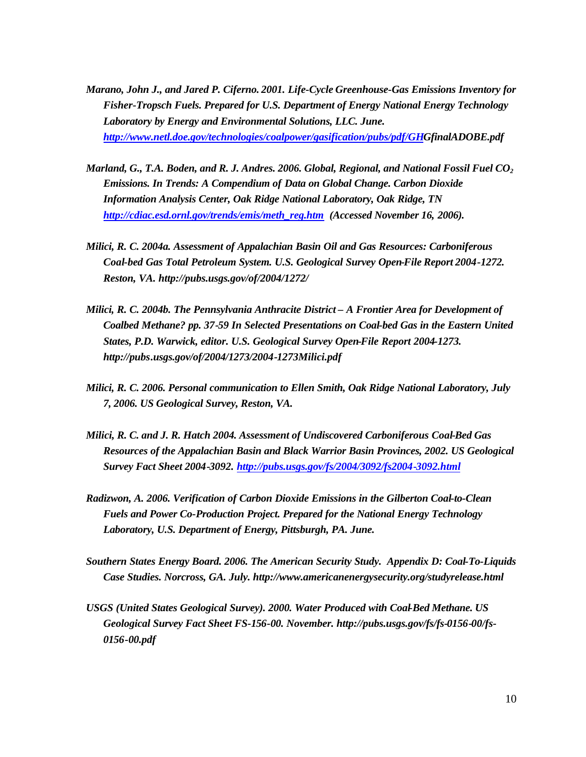- *Marano, John J., and Jared P. Ciferno. 2001. Life-Cycle Greenhouse-Gas Emissions Inventory for Fisher-Tropsch Fuels. Prepared for U.S. Department of Energy National Energy Technology Laboratory by Energy and Environmental Solutions, LLC. June. http://www.netl.doe.gov/technologies/coalpower/gasification/pubs/pdf/GHGfinalADOBE.pdf*
- *Marland, G., T.A. Boden, and R. J. Andres. 2006. Global, Regional, and National Fossil Fuel CO<sup>2</sup> Emissions. In Trends: A Compendium of Data on Global Change. Carbon Dioxide Information Analysis Center, Oak Ridge National Laboratory, Oak Ridge, TN http://cdiac.esd.ornl.gov/trends/emis/meth\_reg.htm (Accessed November 16, 2006).*
- *Milici, R. C. 2004a. Assessment of Appalachian Basin Oil and Gas Resources: Carboniferous Coal-bed Gas Total Petroleum System. U.S. Geological Survey Open-File Report 2004-1272. Reston, VA. http://pubs.usgs.gov/of/2004/1272/*
- *Milici, R. C. 2004b. The Pennsylvania Anthracite District A Frontier Area for Development of Coalbed Methane? pp. 37-59 In Selected Presentations on Coal-bed Gas in the Eastern United States, P.D. Warwick, editor. U.S. Geological Survey Open-File Report 2004-1273. http://pubs.usgs.gov/of/2004/1273/2004-1273Milici.pdf*
- *Milici, R. C. 2006. Personal communication to Ellen Smith, Oak Ridge National Laboratory, July 7, 2006. US Geological Survey, Reston, VA.*
- *Milici, R. C. and J. R. Hatch 2004. Assessment of Undiscovered Carboniferous Coal-Bed Gas Resources of the Appalachian Basin and Black Warrior Basin Provinces, 2002. US Geological Survey Fact Sheet 2004-3092. http://pubs.usgs.gov/fs/2004/3092/fs2004-3092.html*
- *Radizwon, A. 2006. Verification of Carbon Dioxide Emissions in the Gilberton Coal-to-Clean Fuels and Power Co-Production Project. Prepared for the National Energy Technology Laboratory, U.S. Department of Energy, Pittsburgh, PA. June.*
- *Southern States Energy Board. 2006. The American Security Study. Appendix D: Coal-To-Liquids Case Studies. Norcross, GA. July. http://www.americanenergysecurity.org/studyrelease.html*
- *USGS (United States Geological Survey). 2000. Water Produced with Coal-Bed Methane. US Geological Survey Fact Sheet FS-156-00. November. http://pubs.usgs.gov/fs/fs-0156-00/fs-0156-00.pdf*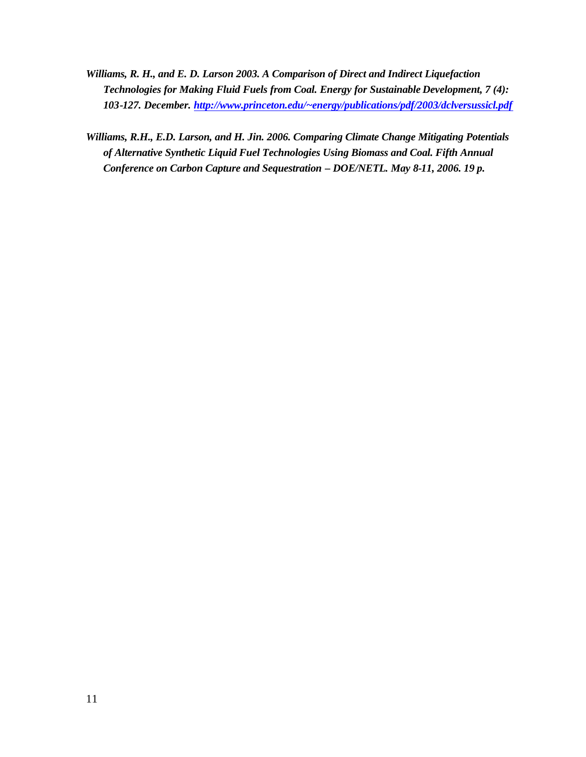- *Williams, R. H., and E. D. Larson 2003. A Comparison of Direct and Indirect Liquefaction Technologies for Making Fluid Fuels from Coal. Energy for Sustainable Development, 7 (4): 103-127. December. http://www.princeton.edu/~energy/publications/pdf/2003/dclversussicl.pdf*
- *Williams, R.H., E.D. Larson, and H. Jin. 2006. Comparing Climate Change Mitigating Potentials of Alternative Synthetic Liquid Fuel Technologies Using Biomass and Coal. Fifth Annual Conference on Carbon Capture and Sequestration – DOE/NETL. May 8-11, 2006. 19 p.*